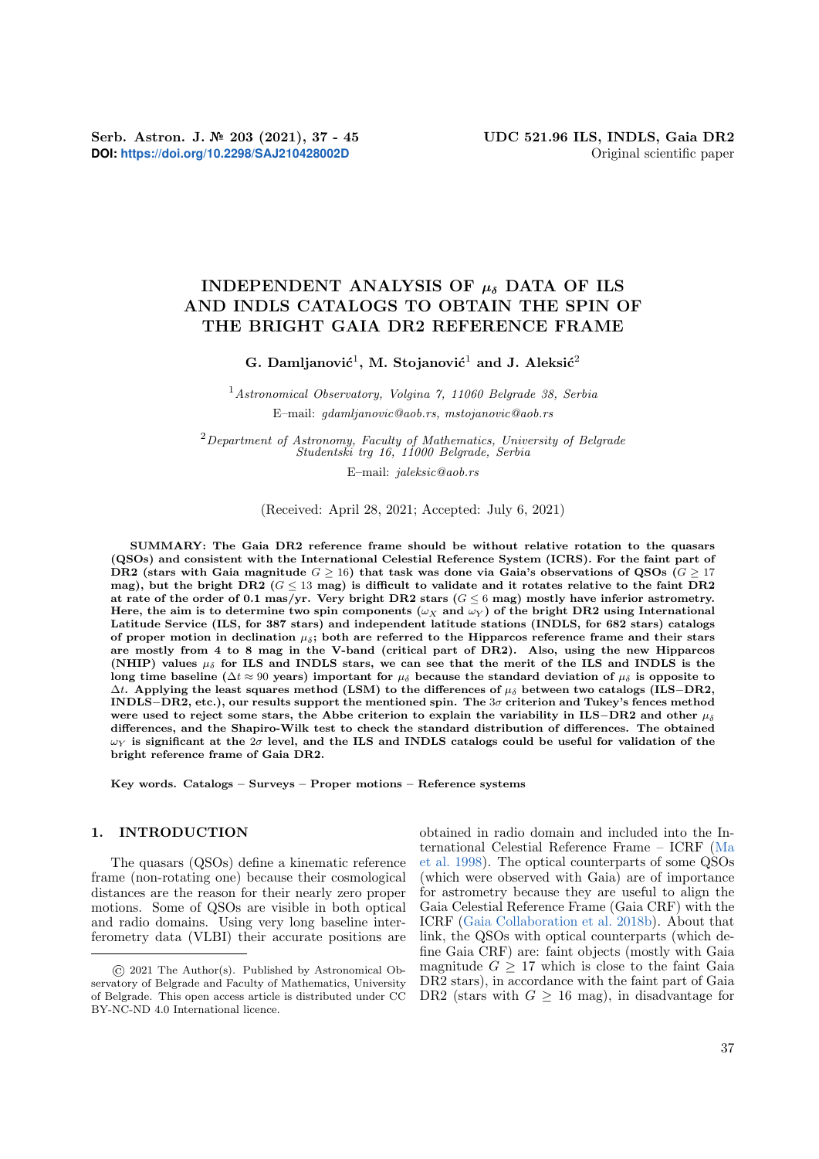**DOI:** <https://doi.org/10.2298/SAJ210428002D> Original scientific paper

# INDEPENDENT ANALYSIS OF  $\mu_{\delta}$  DATA OF ILS AND INDLS CATALOGS TO OBTAIN THE SPIN OF THE BRIGHT GAIA DR2 REFERENCE FRAME

G. Damljanović<sup>1</sup>, M. Stojanović<sup>1</sup> and J. Aleksić<sup>2</sup>

<sup>1</sup>Astronomical Observatory, Volgina 7, 11060 Belgrade 38, Serbia E–mail: gdamljanovic@aob.rs, mstojanovic@aob.rs

 $2$ Department of Astronomy, Faculty of Mathematics, University of Belgrade Studentski trg 16, 11000 Belgrade, Serbia

E–mail: jaleksic@aob.rs

(Received: April 28, 2021; Accepted: July 6, 2021)

SUMMARY: The Gaia DR2 reference frame should be without relative rotation to the quasars (QSOs) and consistent with the International Celestial Reference System (ICRS). For the faint part of DR2 (stars with Gaia magnitude  $G > 16$ ) that task was done via Gaia's observations of QSOs  $(G > 17)$ mag), but the bright DR2 ( $G \leq 13$  mag) is difficult to validate and it rotates relative to the faint DR2 at rate of the order of 0.1 mas/yr. Very bright DR2 stars ( $G \le 6$  mag) mostly have inferior astrometry. Here, the aim is to determine two spin components ( $\omega_X$  and  $\omega_Y$ ) of the bright DR2 using International Latitude Service (ILS, for 387 stars) and independent latitude stations (INDLS, for 682 stars) catalogs of proper motion in declination  $\mu_{\delta}$ ; both are referred to the Hipparcos reference frame and their stars are mostly from 4 to 8 mag in the V-band (critical part of DR2). Also, using the new Hipparcos (NHIP) values  $\mu_{\delta}$  for ILS and INDLS stars, we can see that the merit of the ILS and INDLS is the long time baseline ( $\Delta t \approx 90$  years) important for  $\mu_{\delta}$  because the standard deviation of  $\mu_{\delta}$  is opposite to  $\Delta t$ . Applying the least squares method (LSM) to the differences of  $\mu_{\delta}$  between two catalogs (ILS−DR2, INDLS−DR2, etc.), our results support the mentioned spin. The 3σ criterion and Tukey's fences method were used to reject some stars, the Abbe criterion to explain the variability in ILS−DR2 and other  $\mu_{\delta}$ differences, and the Shapiro-Wilk test to check the standard distribution of differences. The obtained  $\omega_Y$  is significant at the  $2\sigma$  level, and the ILS and INDLS catalogs could be useful for validation of the bright reference frame of Gaia DR2.

Key words. Catalogs – Surveys – Proper motions – Reference systems

# 1. INTRODUCTION

The quasars (QSOs) define a kinematic reference frame (non-rotating one) because their cosmological distances are the reason for their nearly zero proper motions. Some of QSOs are visible in both optical and radio domains. Using very long baseline interferometry data (VLBI) their accurate positions are obtained in radio domain and included into the International Celestial Reference Frame – ICRF [\(Ma](#page-7-0) [et al.](#page-7-0) [1998\)](#page-7-0). The optical counterparts of some QSOs (which were observed with Gaia) are of importance for astrometry because they are useful to align the Gaia Celestial Reference Frame (Gaia CRF) with the ICRF [\(Gaia Collaboration et al.](#page-7-1) [2018b\)](#page-7-1). About that link, the QSOs with optical counterparts (which define Gaia CRF) are: faint objects (mostly with Gaia magnitude  $G \geq 17$  which is close to the faint Gaia DR2 stars), in accordance with the faint part of Gaia DR2 (stars with  $G \geq 16$  mag), in disadvantage for

<sup>©</sup> 2021 The Author(s). Published by Astronomical Observatory of Belgrade and Faculty of Mathematics, University of Belgrade. This open access article is distributed under CC BY-NC-ND 4.0 International licence.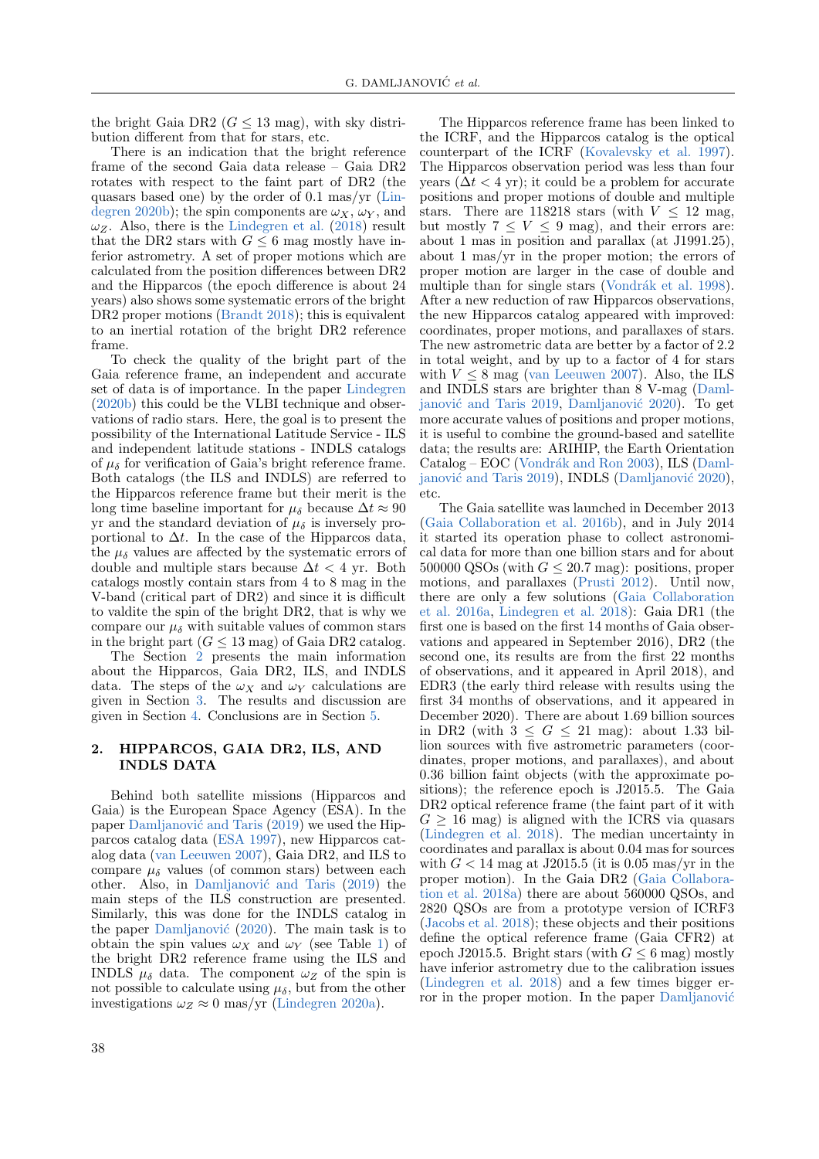the bright Gaia DR2 ( $G \leq 13$  mag), with sky distribution different from that for stars, etc.

There is an indication that the bright reference frame of the second Gaia data release – Gaia DR2 rotates with respect to the faint part of DR2 (the quasars based one) by the order of 0.1 mas/yr [\(Lin](#page-7-2)[degren](#page-7-2) [2020b\)](#page-7-2); the spin components are  $\omega_X$ ,  $\omega_Y$ , and  $\omega_Z$ . Also, there is the [Lindegren et al.](#page-7-3) [\(2018\)](#page-7-3) result that the DR2 stars with  $G \leq 6$  mag mostly have inferior astrometry. A set of proper motions which are calculated from the position differences between DR2 and the Hipparcos (the epoch difference is about 24 years) also shows some systematic errors of the bright DR2 proper motions [\(Brandt](#page-7-4) [2018\)](#page-7-4); this is equivalent to an inertial rotation of the bright DR2 reference frame.

To check the quality of the bright part of the Gaia reference frame, an independent and accurate set of data is of importance. In the paper [Lindegren](#page-7-2) [\(2020b\)](#page-7-2) this could be the VLBI technique and observations of radio stars. Here, the goal is to present the possibility of the International Latitude Service - ILS and independent latitude stations - INDLS catalogs of  $\mu_{\delta}$  for verification of Gaia's bright reference frame. Both catalogs (the ILS and INDLS) are referred to the Hipparcos reference frame but their merit is the long time baseline important for  $\mu_{\delta}$  because  $\Delta t \approx 90$ yr and the standard deviation of  $\mu_{\delta}$  is inversely proportional to  $\Delta t$ . In the case of the Hipparcos data, the  $\mu_{\delta}$  values are affected by the systematic errors of double and multiple stars because  $\Delta t < 4$  yr. Both catalogs mostly contain stars from 4 to 8 mag in the V-band (critical part of DR2) and since it is difficult to valdite the spin of the bright DR2, that is why we compare our  $\mu_{\delta}$  with suitable values of common stars in the bright part  $(G \leq 13 \text{ mag})$  of Gaia DR2 catalog.

The Section [2](#page-1-0) presents the main information about the Hipparcos, Gaia DR2, ILS, and INDLS data. The steps of the  $\omega_X$  and  $\omega_Y$  calculations are given in Section [3.](#page-2-0) The results and discussion are given in Section [4.](#page-4-0) Conclusions are in Section [5.](#page-6-0)

### <span id="page-1-0"></span>2. HIPPARCOS, GAIA DR2, ILS, AND INDLS DATA

Behind both satellite missions (Hipparcos and Gaia) is the European Space Agency (ESA). In the paper Damljanović and Taris  $(2019)$  we used the Hipparcos catalog data [\(ESA](#page-7-6) [1997\)](#page-7-6), new Hipparcos catalog data [\(van Leeuwen](#page-7-7) [2007\)](#page-7-7), Gaia DR2, and ILS to compare  $\mu_{\delta}$  values (of common stars) between each other. Also, in Damlianović and Taris  $(2019)$  the main steps of the ILS construction are presented. Similarly, this was done for the INDLS catalog in the paper Damljanović  $(2020)$ . The main task is to obtain the spin values  $\omega_X$  and  $\omega_Y$  (see Table [1\)](#page-4-1) of the bright DR2 reference frame using the ILS and INDLS  $\mu_{\delta}$  data. The component  $\omega_Z$  of the spin is not possible to calculate using  $\mu_{\delta}$ , but from the other investigations  $\omega_Z \approx 0$  mas/yr [\(Lindegren](#page-7-9) [2020a\)](#page-7-9).

The Hipparcos observation period was less than four years  $(\Delta t < 4 \text{ yr})$ ; it could be a problem for accurate positions and proper motions of double and multiple stars. There are 118218 stars (with  $V < 12$  mag, but mostly  $7 \leq V \leq 9$  mag), and their errors are: about 1 mas in position and parallax (at J1991.25), about 1 mas/yr in the proper motion; the errors of proper motion are larger in the case of double and multiple than for single stars (Vondrák et al. [1998\)](#page-7-11). After a new reduction of raw Hipparcos observations, the new Hipparcos catalog appeared with improved: coordinates, proper motions, and parallaxes of stars. The new astrometric data are better by a factor of 2.2 in total weight, and by up to a factor of 4 for stars with  $V \leq 8$  mag [\(van Leeuwen](#page-7-7) [2007\)](#page-7-7). Also, the ILS and INDLS stars are brighter than 8 V-mag [\(Daml-](#page-7-5)janović and Taris [2019,](#page-7-5) Damljanović [2020\)](#page-7-8). To get more accurate values of positions and proper motions, it is useful to combine the ground-based and satellite data; the results are: ARIHIP, the Earth Orientation  $\text{Catalog} - \text{EOC}$  (Vondrák and Ron [2003\)](#page-7-12), ILS [\(Daml-](#page-7-5)janović and Taris [2019\)](#page-7-5), INDLS (Damljanović [2020\)](#page-7-8), etc. The Gaia satellite was launched in December 2013

The Hipparcos reference frame has been linked to the ICRF, and the Hipparcos catalog is the optical counterpart of the ICRF [\(Kovalevsky et al.](#page-7-10) [1997\)](#page-7-10).

[\(Gaia Collaboration et al.](#page-7-13) [2016b\)](#page-7-13), and in July 2014 it started its operation phase to collect astronomical data for more than one billion stars and for about 500000 QSOs (with  $G \leq 20.7$  mag): positions, proper motions, and parallaxes [\(Prusti](#page-7-14) [2012\)](#page-7-14). Until now, there are only a few solutions [\(Gaia Collaboration](#page-7-15) [et al.](#page-7-15) [2016a,](#page-7-15) [Lindegren et al.](#page-7-3) [2018\)](#page-7-3): Gaia DR1 (the first one is based on the first 14 months of Gaia observations and appeared in September 2016), DR2 (the second one, its results are from the first 22 months of observations, and it appeared in April 2018), and EDR3 (the early third release with results using the first 34 months of observations, and it appeared in December 2020). There are about 1.69 billion sources in DR2 (with  $3 \leq G \leq 21$  mag): about 1.33 billion sources with five astrometric parameters (coordinates, proper motions, and parallaxes), and about 0.36 billion faint objects (with the approximate positions); the reference epoch is J2015.5. The Gaia DR2 optical reference frame (the faint part of it with  $G \geq 16$  mag) is aligned with the ICRS via quasars [\(Lindegren et al.](#page-7-3) [2018\)](#page-7-3). The median uncertainty in coordinates and parallax is about 0.04 mas for sources with  $G < 14$  mag at J2015.5 (it is 0.05 mas/yr in the proper motion). In the Gaia DR2 [\(Gaia Collabora](#page-7-16)[tion et al.](#page-7-16) [2018a\)](#page-7-16) there are about 560000 QSOs, and 2820 QSOs are from a prototype version of ICRF3 [\(Jacobs et al.](#page-7-17) [2018\)](#page-7-17); these objects and their positions define the optical reference frame (Gaia CFR2) at epoch J2015.5. Bright stars (with  $G \leq 6$  mag) mostly have inferior astrometry due to the calibration issues [\(Lindegren et al.](#page-7-3) [2018\)](#page-7-3) and a few times bigger error in the proper motion. In the paper Damljanović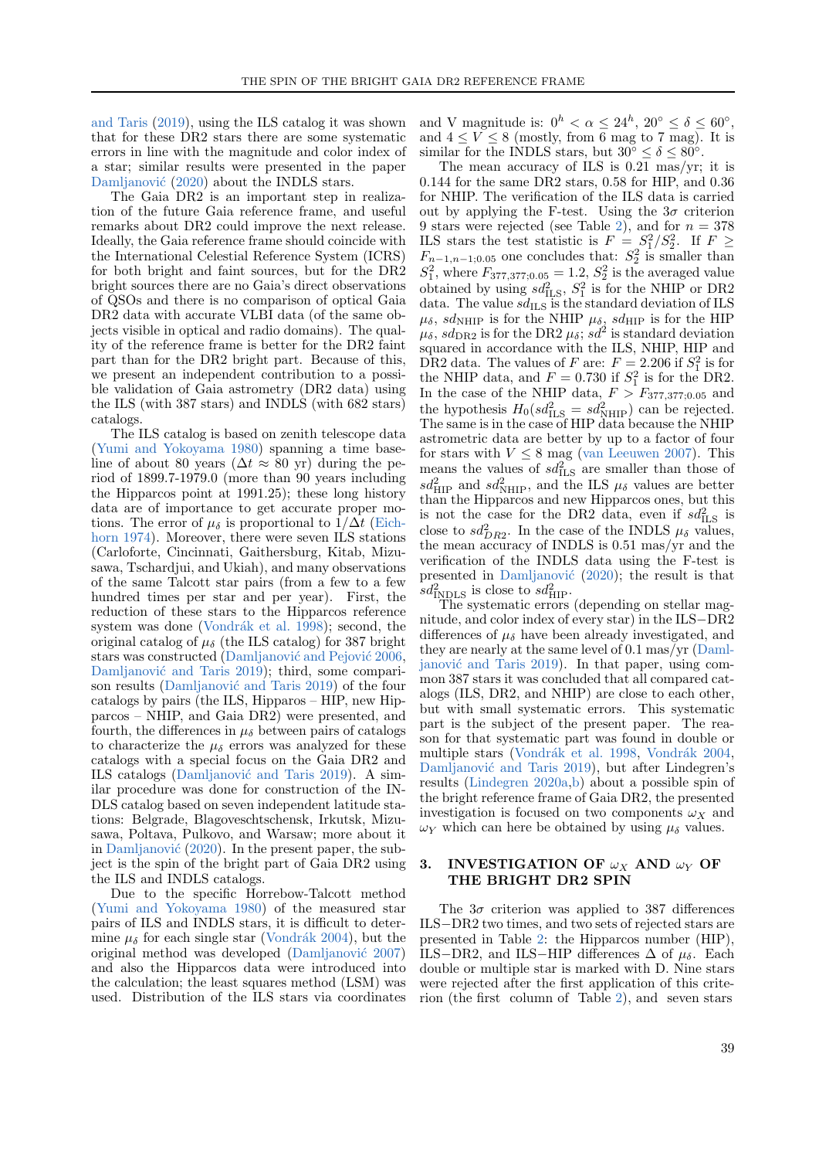[and Taris](#page-7-5) [\(2019\)](#page-7-5), using the ILS catalog it was shown that for these DR2 stars there are some systematic errors in line with the magnitude and color index of a star; similar results were presented in the paper Damljanović [\(2020\)](#page-7-8) about the INDLS stars.

The Gaia DR2 is an important step in realization of the future Gaia reference frame, and useful remarks about DR2 could improve the next release. Ideally, the Gaia reference frame should coincide with the International Celestial Reference System (ICRS) for both bright and faint sources, but for the DR2 bright sources there are no Gaia's direct observations of QSOs and there is no comparison of optical Gaia DR2 data with accurate VLBI data (of the same objects visible in optical and radio domains). The quality of the reference frame is better for the DR2 faint part than for the DR2 bright part. Because of this, we present an independent contribution to a possible validation of Gaia astrometry (DR2 data) using the ILS (with 387 stars) and INDLS (with 682 stars) catalogs.

The ILS catalog is based on zenith telescope data [\(Yumi and Yokoyama](#page-7-18) [1980\)](#page-7-18) spanning a time baseline of about 80 years ( $\Delta t \approx 80$  yr) during the period of 1899.7-1979.0 (more than 90 years including the Hipparcos point at 1991.25); these long history data are of importance to get accurate proper motions. The error of  $\mu_{\delta}$  is proportional to  $1/\Delta t$  [\(Eich](#page-7-19)[horn](#page-7-19) [1974\)](#page-7-19). Moreover, there were seven ILS stations (Carloforte, Cincinnati, Gaithersburg, Kitab, Mizusawa, Tschardjui, and Ukiah), and many observations of the same Talcott star pairs (from a few to a few hundred times per star and per year). First, the reduction of these stars to the Hipparcos reference system was done (Vondrák et al. [1998\)](#page-7-11); second, the original catalog of  $\mu_{\delta}$  (the ILS catalog) for 387 bright stars was constructed (Damlianović and Pejović  $2006$ , Damljanović and Taris [2019\)](#page-7-5); third, some compari-son results (Damljanović and Taris [2019\)](#page-7-5) of the four catalogs by pairs (the ILS, Hipparos –  $\text{HIP}$ , new Hipparcos – NHIP, and Gaia DR2) were presented, and fourth, the differences in  $\mu_{\delta}$  between pairs of catalogs to characterize the  $\mu_{\delta}$  errors was analyzed for these catalogs with a special focus on the Gaia DR2 and ILS catalogs (Damljanović and Taris [2019\)](#page-7-5). A similar procedure was done for construction of the IN-DLS catalog based on seven independent latitude stations: Belgrade, Blagoveschtschensk, Irkutsk, Mizusawa, Poltava, Pulkovo, and Warsaw; more about it in Damljanović  $(2020)$ . In the present paper, the subject is the spin of the bright part of Gaia DR2 using the ILS and INDLS catalogs.

Due to the specific Horrebow-Talcott method [\(Yumi and Yokoyama](#page-7-18) [1980\)](#page-7-18) of the measured star pairs of ILS and INDLS stars, it is difficult to determine  $\mu_{\delta}$  for each single star (Vondrák [2004\)](#page-7-21), but the original method was developed (Damljanović [2007\)](#page-7-22) and also the Hipparcos data were introduced into the calculation; the least squares method (LSM) was used. Distribution of the ILS stars via coordinates

and V magnitude is:  $0^h < \alpha \leq 24^h$ ,  $20^{\circ} \leq \delta \leq 60^{\circ}$ , and  $4 \leq V \leq 8$  (mostly, from 6 mag to 7 mag). It is similar for the INDLS stars, but  $30^{\circ} \le \delta \le 80^{\circ}$ .

The mean accuracy of ILS is 0.21 mas/yr; it is 0.144 for the same DR2 stars, 0.58 for HIP, and 0.36 for NHIP. The verification of the ILS data is carried out by applying the F-test. Using the  $3\sigma$  criterion 9 stars were rejected (see Table [2\)](#page-4-2), and for  $n = 378$ ILS stars the test statistic is  $F = S_1^2/S_2^2$ . If  $F \geq$  $F_{n-1,n-1,0.05}$  one concludes that:  $S_2^2$  is smaller than  $S_1^2$ , where  $F_{377,377;0.05} = 1.2$ ,  $S_2^2$  is the averaged value obtained by using  $sd_{\text{ILS}}^2$ ,  $S_1^2$  is for the NHIP or DR2 data. The value  $sd_{\text{ILS}}$  is the standard deviation of ILS  $\mu_{\delta}$ , sd<sub>NHIP</sub> is for the NHIP  $\mu_{\delta}$ , sd<sub>HIP</sub> is for the HIP  $\mu_{\delta}$ ,  $sd_{\text{DR2}}$  is for the DR2  $\mu_{\delta}$ ;  $sd^2$  is standard deviation squared in accordance with the ILS, NHIP, HIP and DR2 data. The values of F are:  $F = 2.206$  if  $S_1^2$  is for the NHIP data, and  $F = 0.730$  if  $S_1^2$  is for the DR2. In the case of the NHIP data,  $F > F_{377,377;0.05}$  and the hypothesis  $H_0(s d_{\text{ILS}}^2 = s d_{\text{NHIP}}^2)$  can be rejected. The same is in the case of HIP data because the NHIP astrometric data are better by up to a factor of four for stars with  $V \leq 8$  mag [\(van Leeuwen](#page-7-7) [2007\)](#page-7-7). This means the values of  $sd_{\text{ILS}}^2$  are smaller than those of  $sd_{\text{HIP}}^2$  and  $sd_{\text{NHIP}}^2$ , and the ILS  $\mu_{\delta}$  values are better than the Hipparcos and new Hipparcos ones, but this is not the case for the DR2 data, even if  $sd_{\text{ILS}}^2$  is close to  $sd_{DR2}^2$ . In the case of the INDLS  $\mu_{\delta}$  values, the mean accuracy of INDLS is 0.51 mas/yr and the verification of the INDLS data using the F-test is presented in Damljanović  $(2020)$ ; the result is that  $sd_{\text{INDLS}}^2$  is close to  $sd_{\text{HIP}}^2$ .

The systematic errors (depending on stellar magnitude, and color index of every star) in the ILS−DR2 differences of  $\mu_{\delta}$  have been already investigated, and they are nearly at the same level of 0.1 mas/yr [\(Daml-](#page-7-5)janović and Taris [2019\)](#page-7-5). In that paper, using common 387 stars it was concluded that all compared catalogs (ILS, DR2, and NHIP) are close to each other, but with small systematic errors. This systematic part is the subject of the present paper. The reason for that systematic part was found in double or multiple stars (Vondrák et al. [1998,](#page-7-11) Vondrák [2004,](#page-7-21) Damljanović and Taris [2019\)](#page-7-5), but after Lindegren's results [\(Lindegren](#page-7-9) [2020a,](#page-7-9)[b\)](#page-7-2) about a possible spin of the bright reference frame of Gaia DR2, the presented investigation is focused on two components  $\omega_X$  and  $\omega_Y$  which can here be obtained by using  $\mu_\delta$  values.

## <span id="page-2-0"></span>3. INVESTIGATION OF  $\omega_X$  AND  $\omega_Y$  OF THE BRIGHT DR2 SPIN

The  $3\sigma$  criterion was applied to 387 differences ILS−DR2 two times, and two sets of rejected stars are presented in Table [2:](#page-4-2) the Hipparcos number (HIP), ILS–DR2, and ILS–HIP differences  $\Delta$  of  $\mu_{\delta}$ . Each double or multiple star is marked with D. Nine stars were rejected after the first application of this criterion (the first column of Table [2\)](#page-4-2), and seven stars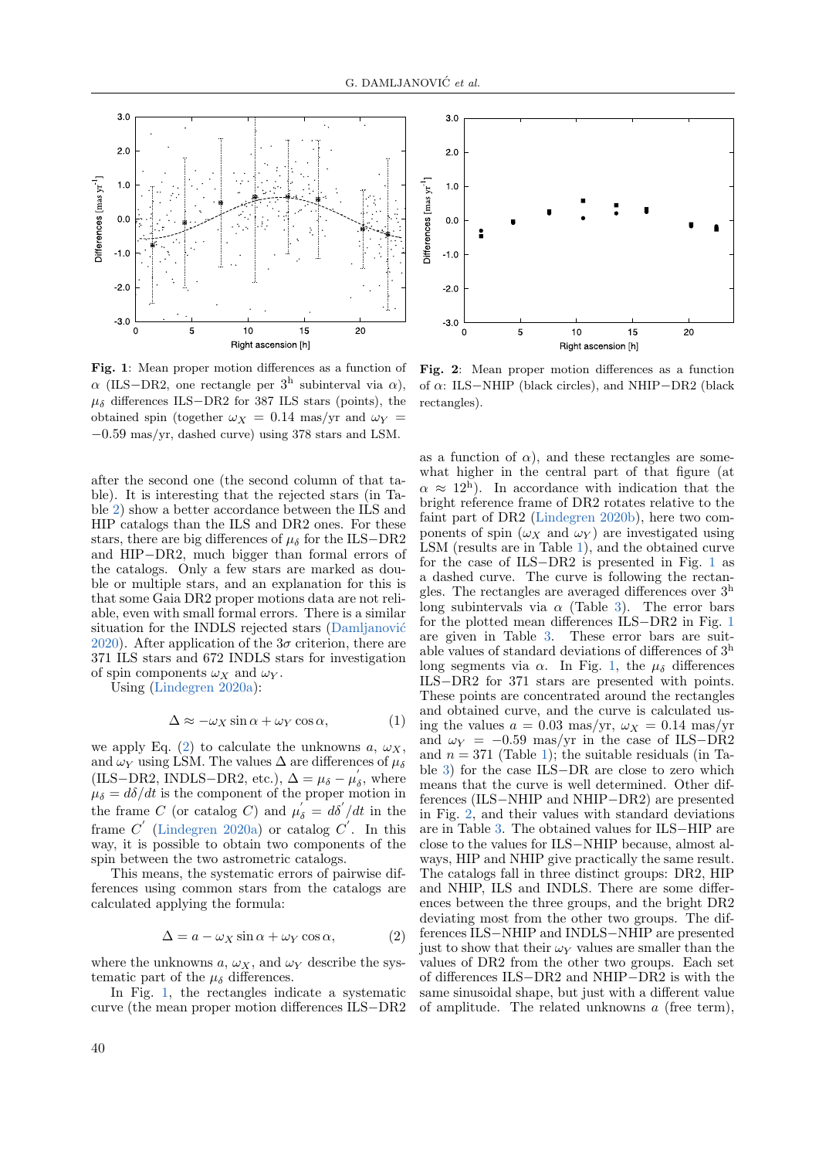

<span id="page-3-1"></span>Fig. 1: Mean proper motion differences as a function of  $\alpha$  (ILS–DR2, one rectangle per 3<sup>h</sup> subinterval via  $\alpha$ ),  $\mu_{\delta}$  differences ILS−DR2 for 387 ILS stars (points), the obtained spin (together  $\omega_X = 0.14$  mas/yr and  $\omega_Y =$ −0.59 mas/yr, dashed curve) using 378 stars and LSM.

after the second one (the second column of that table). It is interesting that the rejected stars (in Table [2\)](#page-4-2) show a better accordance between the ILS and HIP catalogs than the ILS and DR2 ones. For these stars, there are big differences of  $\mu_{\delta}$  for the ILS–DR2 and HIP−DR2, much bigger than formal errors of the catalogs. Only a few stars are marked as double or multiple stars, and an explanation for this is that some Gaia DR2 proper motions data are not reliable, even with small formal errors. There is a similar situation for the INDLS rejected stars (Damljanović [2020\)](#page-7-8). After application of the  $3\sigma$  criterion, there are 371 ILS stars and 672 INDLS stars for investigation of spin components  $\omega_X$  and  $\omega_Y$ .

Using [\(Lindegren](#page-7-9) [2020a\)](#page-7-9):

$$
\Delta \approx -\omega_X \sin \alpha + \omega_Y \cos \alpha, \tag{1}
$$

we apply Eq. [\(2\)](#page-3-0) to calculate the unknowns  $a, \omega_X$ , and  $\omega_Y$  using LSM. The values  $\Delta$  are differences of  $\mu_\delta$ (ILS–DR2, INDLS–DR2, etc.),  $\Delta = \mu_{\delta} - \mu'_{\delta}$ , where  $\mu_{\delta} = d\delta/dt$  is the component of the proper motion in the frame C (or catalog C) and  $\mu'_{\delta} = d\delta'/dt$  in the frame  $C'$  [\(Lindegren](#page-7-9) [2020a\)](#page-7-9) or catalog  $C'$ . In this way, it is possible to obtain two components of the spin between the two astrometric catalogs.

This means, the systematic errors of pairwise differences using common stars from the catalogs are calculated applying the formula:

<span id="page-3-0"></span>
$$
\Delta = a - \omega_X \sin \alpha + \omega_Y \cos \alpha, \tag{2}
$$

where the unknowns  $a, \omega_X$ , and  $\omega_Y$  describe the systematic part of the  $\mu_{\delta}$  differences.

In Fig. [1,](#page-3-1) the rectangles indicate a systematic curve (the mean proper motion differences ILS−DR2



<span id="page-3-2"></span>Fig. 2: Mean proper motion differences as a function of  $\alpha$ : ILS−NHIP (black circles), and NHIP−DR2 (black rectangles).

as a function of  $\alpha$ ), and these rectangles are somewhat higher in the central part of that figure (at  $\alpha \approx 12^{\rm h}$ ). In accordance with indication that the bright reference frame of DR2 rotates relative to the faint part of DR2 [\(Lindegren](#page-7-2) [2020b\)](#page-7-2), here two components of spin  $(\omega_X)$  and  $\omega_Y$  are investigated using LSM (results are in Table [1\)](#page-4-1), and the obtained curve for the case of ILS−DR2 is presented in Fig. [1](#page-3-1) as a dashed curve. The curve is following the rectangles. The rectangles are averaged differences over  $3<sup>h</sup>$ long subintervals via  $\alpha$  (Table [3\)](#page-6-1). The error bars for the plotted mean differences ILS−DR2 in Fig. [1](#page-3-1) are given in Table [3.](#page-6-1) These error bars are suitable values of standard deviations of differences of 3<sup>h</sup> long segments via  $\alpha$ . In Fig. [1,](#page-3-1) the  $\mu_{\delta}$  differences ILS−DR2 for 371 stars are presented with points. These points are concentrated around the rectangles and obtained curve, and the curve is calculated using the values  $a = 0.03$  mas/yr,  $\omega_X = 0.14$  mas/yr and  $\omega_Y = -0.59$  mas/yr in the case of ILS-DR2 and  $n = 371$  (Table [1\)](#page-4-1); the suitable residuals (in Table [3\)](#page-6-1) for the case ILS−DR are close to zero which means that the curve is well determined. Other differences (ILS−NHIP and NHIP−DR2) are presented in Fig. [2,](#page-3-2) and their values with standard deviations are in Table [3.](#page-6-1) The obtained values for ILS−HIP are close to the values for ILS−NHIP because, almost always, HIP and NHIP give practically the same result. The catalogs fall in three distinct groups: DR2, HIP and NHIP, ILS and INDLS. There are some differences between the three groups, and the bright DR2 deviating most from the other two groups. The differences ILS−NHIP and INDLS−NHIP are presented just to show that their  $\omega_Y$  values are smaller than the values of DR2 from the other two groups. Each set of differences ILS−DR2 and NHIP−DR2 is with the same sinusoidal shape, but just with a different value of amplitude. The related unknowns a (free term),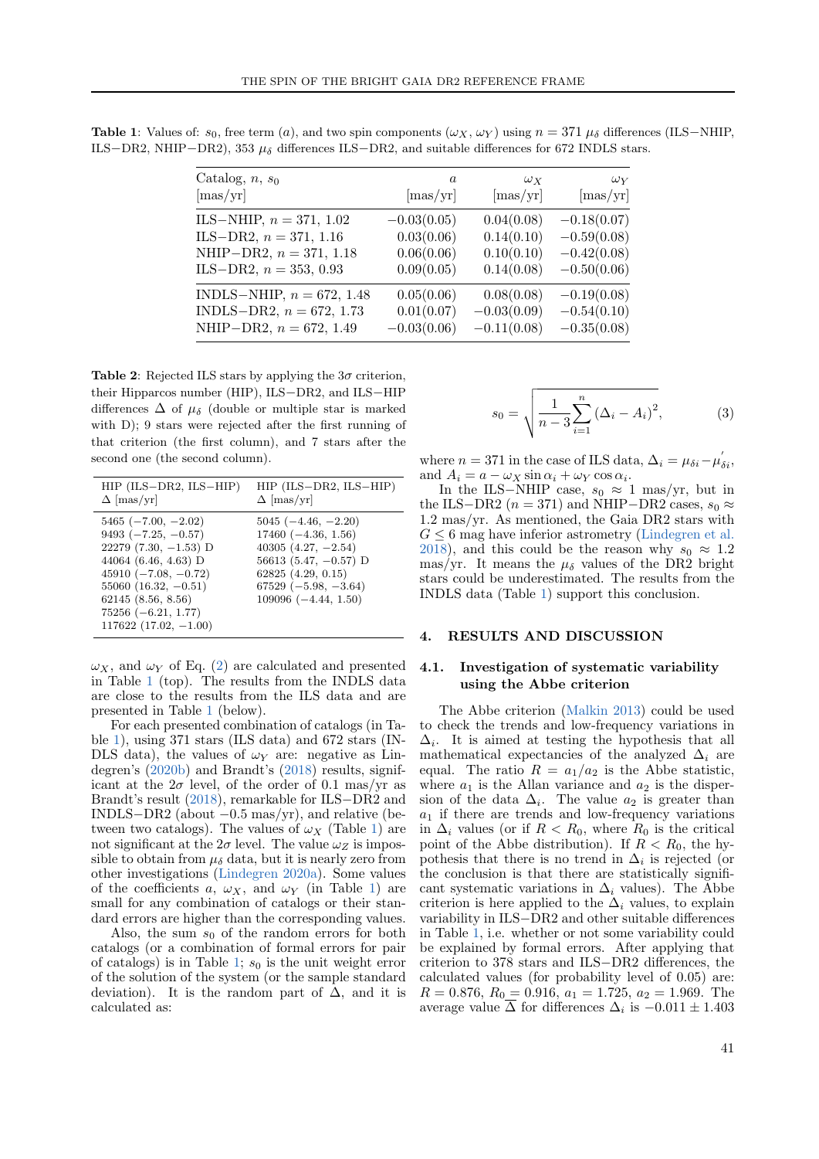| Catalog, $n, s_0$           | $\boldsymbol{a}$  | $\omega_X$        | $\omega_Y$        |
|-----------------------------|-------------------|-------------------|-------------------|
| $[\text{mas/yr}]$           | $[\text{mas/yr}]$ | $[\text{mas/yr}]$ | $[\text{mas/yr}]$ |
| ILS-NHIP, $n = 371, 1.02$   | $-0.03(0.05)$     | 0.04(0.08)        | $-0.18(0.07)$     |
| ILS-DR2, $n = 371, 1.16$    | 0.03(0.06)        | 0.14(0.10)        | $-0.59(0.08)$     |
| NHIP-DR2, $n = 371, 1.18$   | 0.06(0.06)        | 0.10(0.10)        | $-0.42(0.08)$     |
| ILS-DR2, $n = 353, 0.93$    | 0.09(0.05)        | 0.14(0.08)        | $-0.50(0.06)$     |
| INDLS-NHIP, $n = 672, 1.48$ | 0.05(0.06)        | 0.08(0.08)        | $-0.19(0.08)$     |
| INDLS-DR2, $n = 672, 1.73$  | 0.01(0.07)        | $-0.03(0.09)$     | $-0.54(0.10)$     |
| NHIP-DR2, $n = 672, 1.49$   | $-0.03(0.06)$     | $-0.11(0.08)$     | $-0.35(0.08)$     |

<span id="page-4-1"></span>Table 1: Values of:  $s_0$ , free term (a), and two spin components ( $\omega_X$ ,  $\omega_Y$ ) using  $n = 371 \mu_\delta$  differences (ILS–NHIP, ILS−DR2, NHIP−DR2), 353  $\mu_{\delta}$  differences ILS−DR2, and suitable differences for 672 INDLS stars.

<span id="page-4-2"></span>Table 2: Rejected ILS stars by applying the  $3\sigma$  criterion, their Hipparcos number (HIP), ILS−DR2, and ILS−HIP differences  $\Delta$  of  $\mu_{\delta}$  (double or multiple star is marked with D); 9 stars were rejected after the first running of that criterion (the first column), and 7 stars after the second one (the second column).

| HIP (ILS-DR2, ILS-HIP)                                                                                                                                                                                                                 | $HIP$ (ILS-DR2, ILS-HIP)                                                                                                                                                         |
|----------------------------------------------------------------------------------------------------------------------------------------------------------------------------------------------------------------------------------------|----------------------------------------------------------------------------------------------------------------------------------------------------------------------------------|
| $\Delta$ [mas/yr]                                                                                                                                                                                                                      | $\Delta$ [mas/yr]                                                                                                                                                                |
| $5465 (-7.00, -2.02)$<br>$9493 (-7.25, -0.57)$<br>$22279$ (7.30, $-1.53$ ) D<br>44064 (6.46, 4.63) D<br>$45910 (-7.08, -0.72)$<br>$55060$ $(16.32, -0.51)$<br>62145(8.56, 8.56)<br>$75256 (-6.21, 1.77)$<br>$117622$ (17.02, $-1.00$ ) | $5045 (-4.46, -2.20)$<br>$17460 (-4.36, 1.56)$<br>$40305(4.27, -2.54)$<br>56613 (5.47, $-0.57$ ) D<br>$62825$ $(4.29, 0.15)$<br>$67529 (-5.98, -3.64)$<br>$109096 (-4.44, 1.50)$ |

 $\omega_X$ , and  $\omega_Y$  of Eq. [\(2\)](#page-3-0) are calculated and presented in Table [1](#page-4-1) (top). The results from the INDLS data are close to the results from the ILS data and are presented in Table [1](#page-4-1) (below).

For each presented combination of catalogs (in Table [1\)](#page-4-1), using 371 stars (ILS data) and 672 stars (IN-DLS data), the values of  $\omega_Y$  are: negative as Lindegren's [\(2020b\)](#page-7-2) and Brandt's [\(2018\)](#page-7-4) results, significant at the  $2\sigma$  level, of the order of 0.1 mas/yr as Brandt's result [\(2018\)](#page-7-4), remarkable for ILS−DR2 and INDLS $-DR2$  (about  $-0.5$  mas/yr), and relative (between two catalogs). The values of  $\omega_X$  (Table [1\)](#page-4-1) are not significant at the  $2\sigma$  level. The value  $\omega_Z$  is impossible to obtain from  $\mu_{\delta}$  data, but it is nearly zero from other investigations [\(Lindegren](#page-7-9) [2020a\)](#page-7-9). Some values of the coefficients a,  $\omega_X$ , and  $\omega_Y$  (in Table [1\)](#page-4-1) are small for any combination of catalogs or their standard errors are higher than the corresponding values.

Also, the sum  $s_0$  of the random errors for both catalogs (or a combination of formal errors for pair of catalogs) is in Table [1;](#page-4-1)  $s_0$  is the unit weight error of the solution of the system (or the sample standard deviation). It is the random part of  $\Delta$ , and it is calculated as:

$$
s_0 = \sqrt{\frac{1}{n-3} \sum_{i=1}^{n} (\Delta_i - A_i)^2},
$$
 (3)

where  $n = 371$  in the case of ILS data,  $\Delta_i = \mu_{\delta i} - \mu'_{\delta i}$ , and  $A_i = a - \omega_X \sin \alpha_i + \omega_Y \cos \alpha_i$ .

In the ILS–NHIP case,  $s_0 \approx 1$  mas/yr, but in the ILS−DR2 ( $n = 371$ ) and NHIP−DR2 cases,  $s_0 \approx$ 1.2 mas/yr. As mentioned, the Gaia DR2 stars with  $G \leq 6$  mag have inferior astrometry [\(Lindegren et al.](#page-7-3) [2018\)](#page-7-3), and this could be the reason why  $s_0 \approx 1.2$ mas/yr. It means the  $\mu_{\delta}$  values of the DR2 bright stars could be underestimated. The results from the INDLS data (Table [1\)](#page-4-1) support this conclusion.

#### <span id="page-4-0"></span>4. RESULTS AND DISCUSSION

### 4.1. Investigation of systematic variability using the Abbe criterion

The Abbe criterion [\(Malkin](#page-7-23) [2013\)](#page-7-23) could be used to check the trends and low-frequency variations in  $\Delta_i$ . It is aimed at testing the hypothesis that all mathematical expectancies of the analyzed  $\Delta_i$  are equal. The ratio  $R = a_1/a_2$  is the Abbe statistic, where  $a_1$  is the Allan variance and  $a_2$  is the dispersion of the data  $\Delta_i$ . The value  $a_2$  is greater than  $a_1$  if there are trends and low-frequency variations in  $\Delta_i$  values (or if  $R < R_0$ , where  $R_0$  is the critical point of the Abbe distribution). If  $R < R_0$ , the hypothesis that there is no trend in  $\Delta_i$  is rejected (or the conclusion is that there are statistically significant systematic variations in  $\Delta_i$  values). The Abbe criterion is here applied to the  $\Delta_i$  values, to explain variability in ILS−DR2 and other suitable differences in Table [1,](#page-4-1) i.e. whether or not some variability could be explained by formal errors. After applying that criterion to 378 stars and ILS−DR2 differences, the calculated values (for probability level of 0.05) are:  $R = 0.876, R_0 = 0.916, a_1 = 1.725, a_2 = 1.969$ . The average value  $\Delta$  for differences  $\Delta_i$  is  $-0.011 \pm 1.403$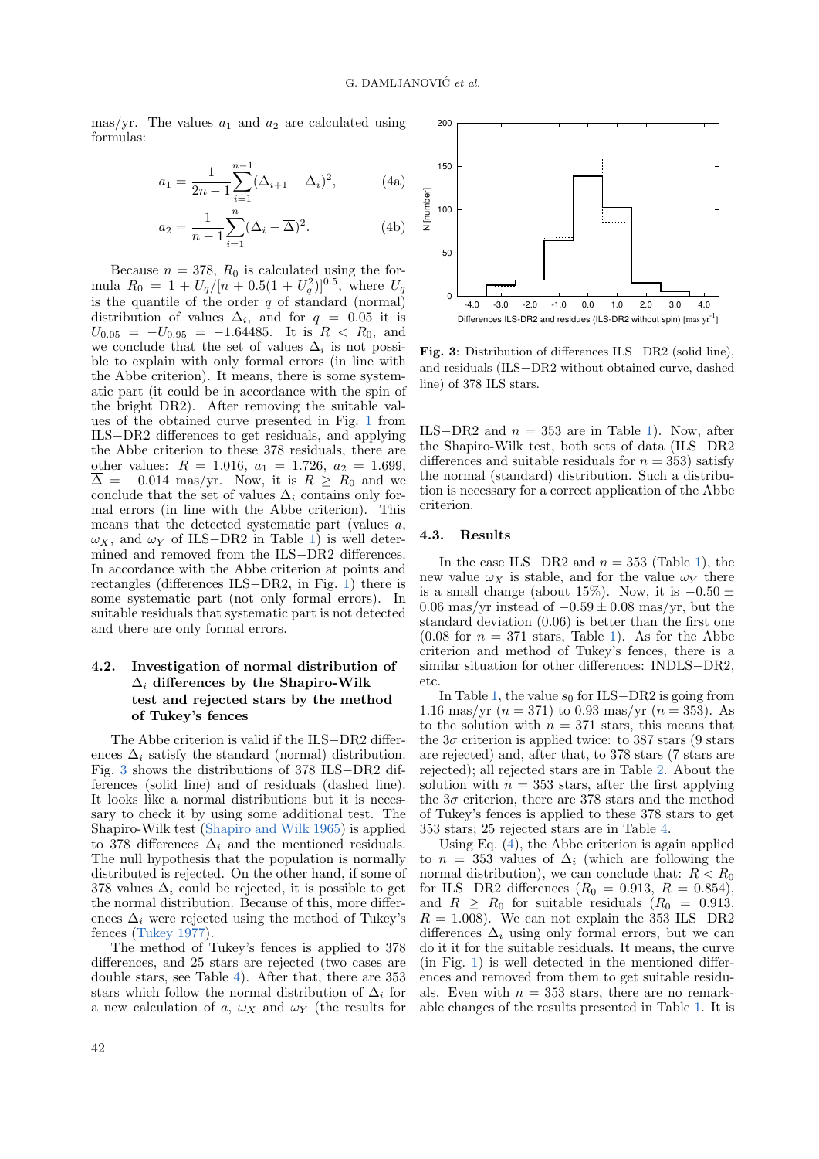mas/yr. The values  $a_1$  and  $a_2$  are calculated using formulas:

$$
a_1 = \frac{1}{2n - 1} \sum_{i=1}^{n-1} (\Delta_{i+1} - \Delta_i)^2,
$$
 (4a)

$$
a_2 = \frac{1}{n-1} \sum_{i=1}^{n} (\Delta_i - \overline{\Delta})^2.
$$
 (4b)

Because  $n = 378$ ,  $R_0$  is calculated using the formula  $R_0 = 1 + U_q/[n + 0.5(1 + U_q^2)]^{0.5}$ , where  $U_q$ is the quantile of the order  $q$  of standard (normal) distribution of values  $\Delta_i$ , and for  $q = 0.05$  it is  $U_{0.05} = -U_{0.95} = -1.64485$ . It is  $R < R_0$ , and we conclude that the set of values  $\Delta_i$  is not possible to explain with only formal errors (in line with the Abbe criterion). It means, there is some systematic part (it could be in accordance with the spin of the bright DR2). After removing the suitable values of the obtained curve presented in Fig. [1](#page-3-1) from ILS−DR2 differences to get residuals, and applying the Abbe criterion to these 378 residuals, there are other values:  $R = 1.016$ ,  $a_1 = 1.726$ ,  $a_2 = 1.699$ ,  $\overline{\Delta} = -0.014$  mas/yr. Now, it is  $R \geq R_0$  and we conclude that the set of values  $\Delta_i$  contains only formal errors (in line with the Abbe criterion). This means that the detected systematic part (values a,  $\omega_X$ , and  $\omega_Y$  of ILS−DR2 in Table [1\)](#page-4-1) is well determined and removed from the ILS−DR2 differences. In accordance with the Abbe criterion at points and rectangles (differences ILS−DR2, in Fig. [1\)](#page-3-1) there is some systematic part (not only formal errors). In suitable residuals that systematic part is not detected and there are only formal errors.

# 4.2. Investigation of normal distribution of  $\Delta_i$  differences by the Shapiro-Wilk test and rejected stars by the method of Tukey's fences

The Abbe criterion is valid if the ILS−DR2 differences  $\Delta_i$  satisfy the standard (normal) distribution. Fig. [3](#page-5-0) shows the distributions of 378 ILS−DR2 differences (solid line) and of residuals (dashed line). It looks like a normal distributions but it is necessary to check it by using some additional test. The Shapiro-Wilk test [\(Shapiro and Wilk](#page-7-24) [1965\)](#page-7-24) is applied to 378 differences  $\Delta_i$  and the mentioned residuals. The null hypothesis that the population is normally distributed is rejected. On the other hand, if some of 378 values  $\Delta_i$  could be rejected, it is possible to get the normal distribution. Because of this, more differences  $\Delta_i$  were rejected using the method of Tukey's fences [\(Tukey](#page-7-25) [1977\)](#page-7-25).

The method of Tukey's fences is applied to 378 differences, and 25 stars are rejected (two cases are double stars, see Table [4\)](#page-6-2). After that, there are 353 stars which follow the normal distribution of  $\Delta_i$  for a new calculation of a,  $\omega_X$  and  $\omega_Y$  (the results for

<span id="page-5-1"></span>

<span id="page-5-0"></span>Fig. 3: Distribution of differences ILS−DR2 (solid line), and residuals (ILS−DR2 without obtained curve, dashed line) of 378 ILS stars.

ILS−DR2 and  $n = 353$  are in Table [1\)](#page-4-1). Now, after the Shapiro-Wilk test, both sets of data (ILS−DR2 differences and suitable residuals for  $n = 353$ ) satisfy the normal (standard) distribution. Such a distribution is necessary for a correct application of the Abbe criterion.

### 4.3. Results

In the case ILS−DR2 and  $n = 353$  (Table [1\)](#page-4-1), the new value  $\omega_X$  is stable, and for the value  $\omega_Y$  there is a small change (about 15%). Now, it is  $-0.50 \pm$ 0.06 mas/yr instead of  $-0.59 \pm 0.08$  mas/yr, but the standard deviation (0.06) is better than the first one  $(0.08$  for  $n = 371$  stars, Table [1\)](#page-4-1). As for the Abbe criterion and method of Tukey's fences, there is a similar situation for other differences: INDLS−DR2, etc.

In Table [1,](#page-4-1) the value  $s_0$  for ILS−DR2 is going from 1.16 mas/yr  $(n = 371)$  to 0.93 mas/yr  $(n = 353)$ . As to the solution with  $n = 371$  stars, this means that the  $3\sigma$  criterion is applied twice: to 387 stars (9 stars are rejected) and, after that, to 378 stars (7 stars are rejected); all rejected stars are in Table [2.](#page-4-2) About the solution with  $n = 353$  stars, after the first applying the  $3\sigma$  criterion, there are 378 stars and the method of Tukey's fences is applied to these 378 stars to get 353 stars; 25 rejected stars are in Table [4.](#page-6-2)

Using Eq. [\(4\)](#page-5-1), the Abbe criterion is again applied to  $n = 353$  values of  $\Delta_i$  (which are following the normal distribution), we can conclude that:  $R < R_0$ for ILS-DR2 differences  $(R_0 = 0.913, R = 0.854),$ and  $R \geq R_0$  for suitable residuals  $(R_0 = 0.913,$  $R = 1.008$ . We can not explain the 353 ILS-DR2 differences  $\Delta_i$  using only formal errors, but we can do it it for the suitable residuals. It means, the curve (in Fig. [1\)](#page-3-1) is well detected in the mentioned differences and removed from them to get suitable residuals. Even with  $n = 353$  stars, there are no remarkable changes of the results presented in Table [1.](#page-4-1) It is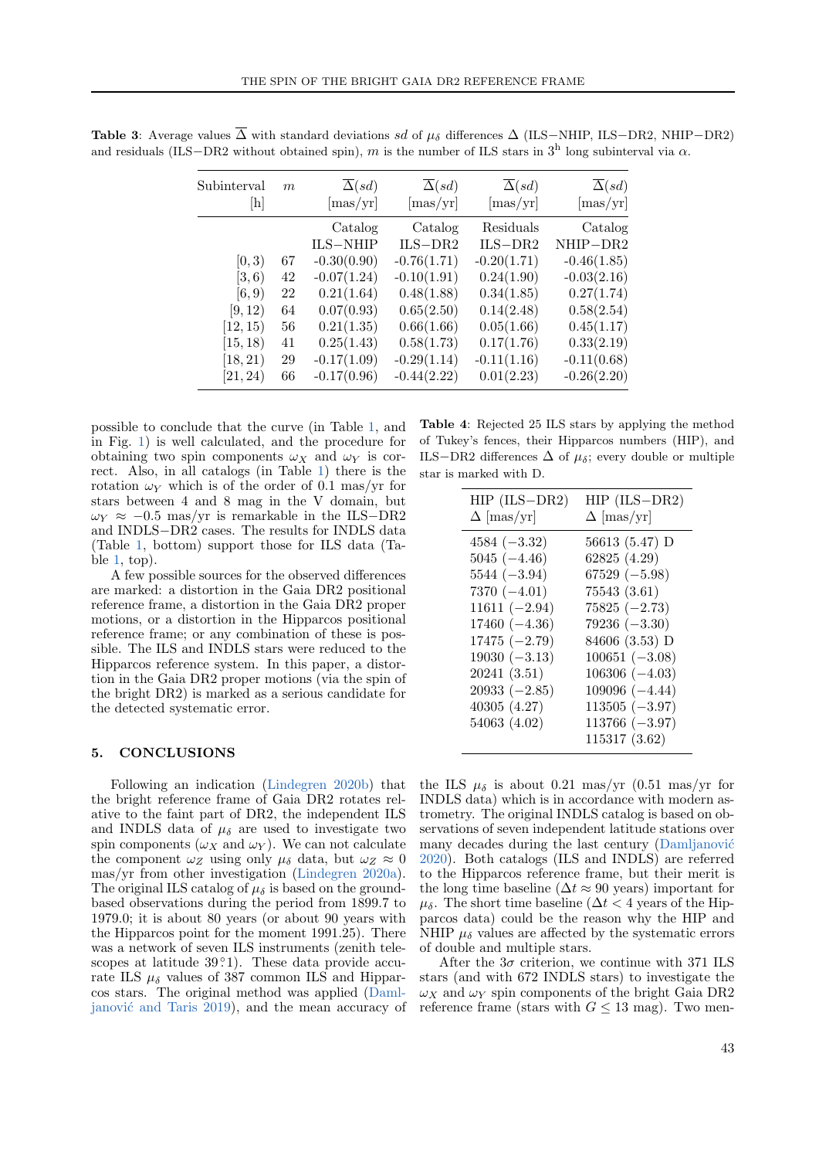| Subinterval<br> h | m  | $\overline{\Delta}(sd)$<br>$[\text{mas/yr}]$ | $\overline{\Delta}(sd)$<br>$[\text{mas/yr}]$ | $\overline{\Delta}(sd)$<br>$[\text{mas/yr}]$ | $\overline{\Delta}(sd)$<br>$[\text{mas/yr}]$ |
|-------------------|----|----------------------------------------------|----------------------------------------------|----------------------------------------------|----------------------------------------------|
|                   |    | Catalog<br><b>ILS-NHIP</b>                   | Catalog<br>$ILS-DR2$                         | Residuals<br>$ILS-DR2$                       | Catalog<br>NHIP-DR2                          |
| [0, 3)            | 67 | $-0.30(0.90)$                                | $-0.76(1.71)$                                | $-0.20(1.71)$                                | $-0.46(1.85)$                                |
| [3, 6)            | 42 | $-0.07(1.24)$                                | $-0.10(1.91)$                                | 0.24(1.90)                                   | $-0.03(2.16)$                                |
| [6, 9)            | 22 | 0.21(1.64)                                   | 0.48(1.88)                                   | 0.34(1.85)                                   | 0.27(1.74)                                   |
| [9, 12)           | 64 | 0.07(0.93)                                   | 0.65(2.50)                                   | 0.14(2.48)                                   | 0.58(2.54)                                   |
| [12, 15)          | 56 | 0.21(1.35)                                   | 0.66(1.66)                                   | 0.05(1.66)                                   | 0.45(1.17)                                   |
| [15, 18)          | 41 | 0.25(1.43)                                   | 0.58(1.73)                                   | 0.17(1.76)                                   | 0.33(2.19)                                   |
| [18, 21)          | 29 | $-0.17(1.09)$                                | $-0.29(1.14)$                                | $-0.11(1.16)$                                | $-0.11(0.68)$                                |
| [21, 24)          | 66 | $-0.17(0.96)$                                | $-0.44(2.22)$                                | 0.01(2.23)                                   | $-0.26(2.20)$                                |

<span id="page-6-1"></span>Table 3: Average values  $\overline{\Delta}$  with standard deviations sd of  $\mu_{\delta}$  differences  $\Delta$  (ILS–NHIP, ILS–DR2, NHIP–DR2) and residuals (ILS−DR2 without obtained spin), m is the number of ILS stars in  $3<sup>h</sup>$  long subinterval via  $\alpha$ .

possible to conclude that the curve (in Table [1,](#page-4-1) and in Fig. [1\)](#page-3-1) is well calculated, and the procedure for obtaining two spin components  $\omega_X$  and  $\omega_Y$  is correct. Also, in all catalogs (in Table [1\)](#page-4-1) there is the rotation  $\omega_Y$  which is of the order of 0.1 mas/yr for stars between 4 and 8 mag in the V domain, but  $\omega_Y \approx -0.5$  mas/yr is remarkable in the ILS-DR2 and INDLS−DR2 cases. The results for INDLS data (Table [1,](#page-4-1) bottom) support those for ILS data (Table [1,](#page-4-1) top).

A few possible sources for the observed differences are marked: a distortion in the Gaia DR2 positional reference frame, a distortion in the Gaia DR2 proper motions, or a distortion in the Hipparcos positional reference frame; or any combination of these is possible. The ILS and INDLS stars were reduced to the Hipparcos reference system. In this paper, a distortion in the Gaia DR2 proper motions (via the spin of the bright DR2) is marked as a serious candidate for the detected systematic error.

#### <span id="page-6-0"></span>5. CONCLUSIONS

Following an indication [\(Lindegren](#page-7-2) [2020b\)](#page-7-2) that the bright reference frame of Gaia DR2 rotates relative to the faint part of DR2, the independent ILS and INDLS data of  $\mu_{\delta}$  are used to investigate two spin components  $(\omega_X \text{ and } \omega_Y)$ . We can not calculate the component  $\omega_Z$  using only  $\mu_\delta$  data, but  $\omega_Z \approx 0$ mas/yr from other investigation [\(Lindegren](#page-7-9) [2020a\)](#page-7-9). The original ILS catalog of  $\mu_{\delta}$  is based on the groundbased observations during the period from 1899.7 to 1979.0; it is about 80 years (or about 90 years with the Hipparcos point for the moment 1991.25). There was a network of seven ILS instruments (zenith telescopes at latitude  $39°1$ ). These data provide accurate ILS  $\mu_{\delta}$  values of 387 common ILS and Hipparcos stars. The original method was applied [\(Daml-](#page-7-5)janović and Taris [2019\)](#page-7-5), and the mean accuracy of

<span id="page-6-2"></span>Table 4: Rejected 25 ILS stars by applying the method of Tukey's fences, their Hipparcos numbers (HIP), and ILS−DR2 differences  $\Delta$  of  $\mu_{\delta}$ ; every double or multiple star is marked with D.

| $HIP$ (ILS-DR2)   | $HIP$ (ILS-DR2)   |
|-------------------|-------------------|
| $\Delta$ [mas/yr] | $\Delta$ [mas/yr] |
| $4584 (-3.32)$    | 56613 (5.47) D    |
| $5045 (-4.46)$    | 62825 (4.29)      |
| $5544 (-3.94)$    | $67529 (-5.98)$   |
| $7370 (-4.01)$    | 75543(3.61)       |
| $11611 (-2.94)$   | $75825 (-2.73)$   |
| $17460 (-4.36)$   | $79236 (-3.30)$   |
| $17475 (-2.79)$   | 84606 (3.53) D    |
| $19030 (-3.13)$   | $100651 (-3.08)$  |
| 20241(3.51)       | $106306 (-4.03)$  |
| $20933 (-2.85)$   | $109096 (-4.44)$  |
| 40305 (4.27)      | $113505 (-3.97)$  |
| 54063 (4.02)      | $113766 (-3.97)$  |
|                   | 115317 (3.62)     |

the ILS  $\mu_{\delta}$  is about 0.21 mas/yr (0.51 mas/yr for INDLS data) which is in accordance with modern astrometry. The original INDLS catalog is based on observations of seven independent latitude stations over many decades during the last century (Damljanović [2020\)](#page-7-8). Both catalogs (ILS and INDLS) are referred to the Hipparcos reference frame, but their merit is the long time baseline ( $\Delta t \approx 90$  years) important for  $\mu_{\delta}$ . The short time baseline ( $\Delta t < 4$  years of the Hipparcos data) could be the reason why the HIP and NHIP  $\mu_{\delta}$  values are affected by the systematic errors of double and multiple stars.

After the  $3\sigma$  criterion, we continue with 371 ILS stars (and with 672 INDLS stars) to investigate the  $\omega_X$  and  $\omega_Y$  spin components of the bright Gaia DR2 reference frame (stars with  $G \leq 13$  mag). Two men-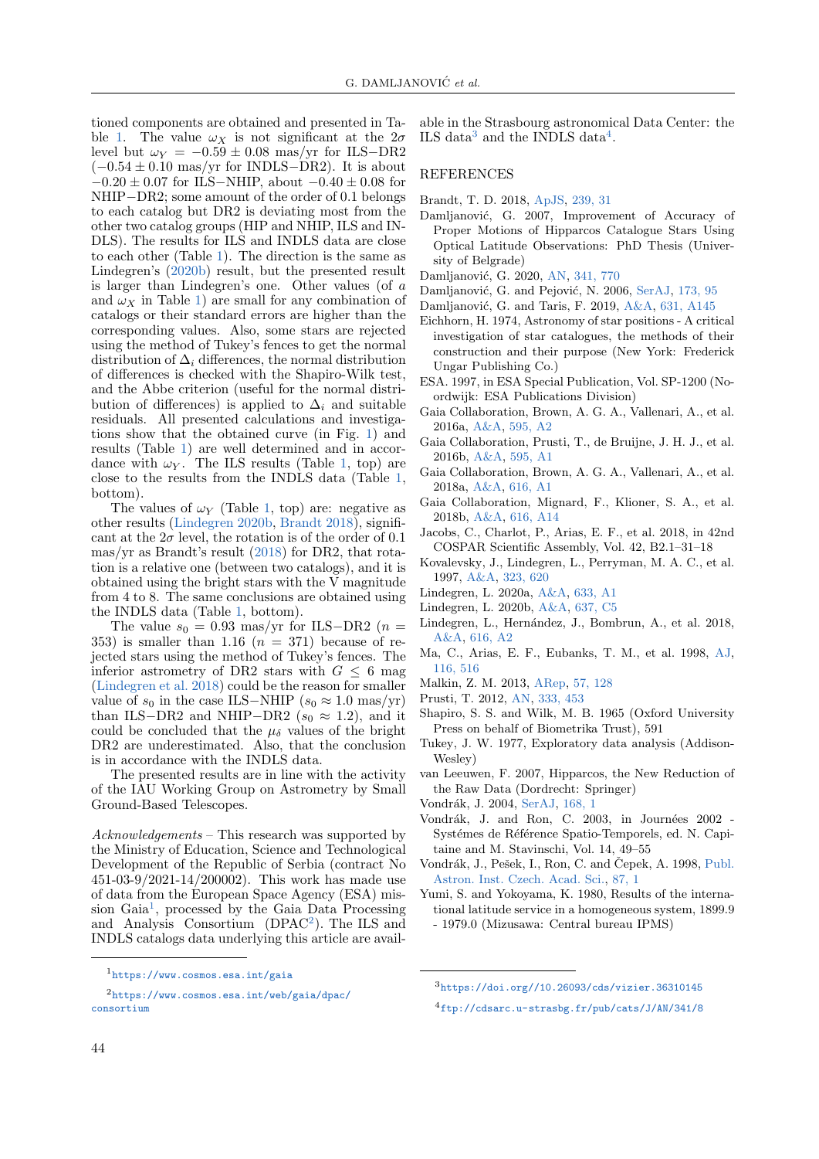tioned components are obtained and presented in Ta-ble [1.](#page-4-1) The value  $\omega_X$  is not significant at the  $2\sigma$ level but  $\omega_Y = -0.59 \pm 0.08$  mas/yr for ILS-DR2  $(-0.54 \pm 0.10 \text{ mas/yr}$  for INDLS–DR2). It is about  $-0.20 \pm 0.07$  for ILS–NHIP, about  $-0.40 \pm 0.08$  for NHIP−DR2; some amount of the order of 0.1 belongs to each catalog but DR2 is deviating most from the other two catalog groups (HIP and NHIP, ILS and IN-DLS). The results for ILS and INDLS data are close to each other (Table [1\)](#page-4-1). The direction is the same as Lindegren's [\(2020b\)](#page-7-2) result, but the presented result is larger than Lindegren's one. Other values (of a and  $\omega_X$  in Table [1\)](#page-4-1) are small for any combination of catalogs or their standard errors are higher than the corresponding values. Also, some stars are rejected using the method of Tukey's fences to get the normal distribution of  $\Delta_i$  differences, the normal distribution of differences is checked with the Shapiro-Wilk test, and the Abbe criterion (useful for the normal distribution of differences) is applied to  $\Delta_i$  and suitable residuals. All presented calculations and investigations show that the obtained curve (in Fig. [1\)](#page-3-1) and results (Table [1\)](#page-4-1) are well determined and in accordance with  $\omega_Y$ . The ILS results (Table [1,](#page-4-1) top) are close to the results from the INDLS data (Table [1,](#page-4-1) bottom).

The values of  $\omega_Y$  (Table [1,](#page-4-1) top) are: negative as other results [\(Lindegren](#page-7-2) [2020b,](#page-7-2) [Brandt](#page-7-4) [2018\)](#page-7-4), significant at the  $2\sigma$  level, the rotation is of the order of 0.1 mas/yr as Brandt's result [\(2018\)](#page-7-4) for DR2, that rotation is a relative one (between two catalogs), and it is obtained using the bright stars with the V magnitude from 4 to 8. The same conclusions are obtained using the INDLS data (Table [1,](#page-4-1) bottom).

The value  $s_0 = 0.93$  mas/yr for ILS-DR2 (n = 353) is smaller than 1.16  $(n = 371)$  because of rejected stars using the method of Tukey's fences. The inferior astrometry of DR2 stars with  $G \leq 6$  mag [\(Lindegren et al.](#page-7-3) [2018\)](#page-7-3) could be the reason for smaller value of  $s_0$  in the case ILS–NHIP  $(s_0 \approx 1.0 \text{ mas/yr})$ than ILS−DR2 and NHIP−DR2 ( $s_0 \approx 1.2$ ), and it could be concluded that the  $\mu_{\delta}$  values of the bright DR2 are underestimated. Also, that the conclusion is in accordance with the INDLS data.

The presented results are in line with the activity of the IAU Working Group on Astrometry by Small Ground-Based Telescopes.

Acknowledgements – This research was supported by the Ministry of Education, Science and Technological Development of the Republic of Serbia (contract No 451-03-9/2021-14/200002). This work has made use of data from the European Space Agency (ESA) mis-sion Gaia<sup>[1](#page-7-26)</sup>, processed by the Gaia Data Processing and Analysis Consortium (DPAC[2](#page-7-27) ). The ILS and INDLS catalogs data underlying this article are available in the Strasbourg astronomical Data Center: the ILS data<sup>[3](#page-7-28)</sup> and the INDLS data<sup>[4](#page-7-29)</sup>.

## **REFERENCES**

- <span id="page-7-4"></span>Brandt, T. D. 2018, [ApJS,](https://ui.adsabs.harvard.edu/abs/2018ApJS..239...31B) [239, 31](https://ui.adsabs.harvard.edu/abs/2018ApJS..239...31B)
- <span id="page-7-22"></span>Damljanović, G. 2007, Improvement of Accuracy of Proper Motions of Hipparcos Catalogue Stars Using Optical Latitude Observations: PhD Thesis (University of Belgrade)
- <span id="page-7-8"></span>Damljanović, G. 2020, [AN,](https://ui.adsabs.harvard.edu/abs/2020AN....341..770D) [341, 770](https://ui.adsabs.harvard.edu/abs/2020AN....341..770D)
- <span id="page-7-20"></span>Damljanović, G. and Pejović, N. 2006, [SerAJ,](https://ui.adsabs.harvard.edu/abs/2006SerAJ.173...95D) [173, 95](https://ui.adsabs.harvard.edu/abs/2006SerAJ.173...95D)
- <span id="page-7-5"></span>Damljanović, G. and Taris, F. 2019, [A&A,](https://ui.adsabs.harvard.edu/abs/2019A&A...631A.145D) [631, A145](https://ui.adsabs.harvard.edu/abs/2019A&A...631A.145D)
- <span id="page-7-19"></span>Eichhorn, H. 1974, Astronomy of star positions - A critical investigation of star catalogues, the methods of their construction and their purpose (New York: Frederick Ungar Publishing Co.)
- <span id="page-7-6"></span>ESA. 1997, in ESA Special Publication, Vol. SP-1200 (Noordwijk: ESA Publications Division)
- <span id="page-7-15"></span>Gaia Collaboration, Brown, A. G. A., Vallenari, A., et al. 2016a, [A&A,](https://ui.adsabs.harvard.edu/abs/2016A&A...595A...2G) [595, A2](https://ui.adsabs.harvard.edu/abs/2016A&A...595A...2G)
- <span id="page-7-13"></span>Gaia Collaboration, Prusti, T., de Bruijne, J. H. J., et al. 2016b, [A&A,](https://ui.adsabs.harvard.edu/abs/2016A&A...595A...1G) [595, A1](https://ui.adsabs.harvard.edu/abs/2016A&A...595A...1G)
- <span id="page-7-16"></span>Gaia Collaboration, Brown, A. G. A., Vallenari, A., et al. 2018a, [A&A,](https://ui.adsabs.harvard.edu/abs/2018A&A...616A...1G) [616, A1](https://ui.adsabs.harvard.edu/abs/2018A&A...616A...1G)
- <span id="page-7-1"></span>Gaia Collaboration, Mignard, F., Klioner, S. A., et al. 2018b, [A&A,](https://ui.adsabs.harvard.edu/abs/2018A&A...616A..14G) [616, A14](https://ui.adsabs.harvard.edu/abs/2018A&A...616A..14G)
- <span id="page-7-17"></span>Jacobs, C., Charlot, P., Arias, E. F., et al. 2018, in 42nd COSPAR Scientific Assembly, Vol. 42, B2.1–31–18
- <span id="page-7-10"></span>Kovalevsky, J., Lindegren, L., Perryman, M. A. C., et al. 1997, [A&A,](https://ui.adsabs.harvard.edu/abs/1997A&A...323..620K) [323, 620](https://ui.adsabs.harvard.edu/abs/1997A&A...323..620K)
- <span id="page-7-9"></span>Lindegren, L. 2020a, [A&A,](https://ui.adsabs.harvard.edu/abs/2020A&A...633A...1L) [633, A1](https://ui.adsabs.harvard.edu/abs/2020A&A...633A...1L)
- <span id="page-7-2"></span>Lindegren, L. 2020b, [A&A,](https://ui.adsabs.harvard.edu/abs/2020A&A...637C...5L) [637, C5](https://ui.adsabs.harvard.edu/abs/2020A&A...637C...5L)
- <span id="page-7-3"></span>Lindegren, L., Hernández, J., Bombrun, A., et al. 2018, [A&A,](https://ui.adsabs.harvard.edu/abs/2018A&A...616A...2L) [616, A2](https://ui.adsabs.harvard.edu/abs/2018A&A...616A...2L)
- <span id="page-7-0"></span>Ma, C., Arias, E. F., Eubanks, T. M., et al. 1998, [AJ,](https://ui.adsabs.harvard.edu/abs/1998AJ....116..516M) [116, 516](https://ui.adsabs.harvard.edu/abs/1998AJ....116..516M)
- <span id="page-7-23"></span>Malkin, Z. M. 2013, [ARep,](https://ui.adsabs.harvard.edu/abs/2013ARep...57..128M) [57, 128](https://ui.adsabs.harvard.edu/abs/2013ARep...57..128M)
- <span id="page-7-14"></span>Prusti, T. 2012, [AN,](https://ui.adsabs.harvard.edu/abs/2012AN....333..453P) [333, 453](https://ui.adsabs.harvard.edu/abs/2012AN....333..453P)
- <span id="page-7-24"></span>Shapiro, S. S. and Wilk, M. B. 1965 (Oxford University Press on behalf of Biometrika Trust), 591
- <span id="page-7-25"></span>Tukey, J. W. 1977, Exploratory data analysis (Addison-Wesley)
- <span id="page-7-7"></span>van Leeuwen, F. 2007, Hipparcos, the New Reduction of the Raw Data (Dordrecht: Springer)
- <span id="page-7-21"></span>Vondrák, J. 2004, [SerAJ,](https://ui.adsabs.harvard.edu/abs/2004SerAJ.168....1V) [168, 1](https://ui.adsabs.harvard.edu/abs/2004SerAJ.168....1V)
- <span id="page-7-12"></span>Vondrák, J. and Ron, C. 2003, in Journées 2002 -Systémes de Référence Spatio-Temporels, ed. N. Capitaine and M. Stavinschi, Vol. 14, 49–55
- <span id="page-7-11"></span>Vondrák, J., Pešek, I., Ron, C. and Čepek, A. 1998, [Publ.](https://ui.adsabs.harvard.edu/abs/1998PAICz..87....1V) [Astron. Inst. Czech. Acad. Sci.,](https://ui.adsabs.harvard.edu/abs/1998PAICz..87....1V) [87, 1](https://ui.adsabs.harvard.edu/abs/1998PAICz..87....1V)
- <span id="page-7-18"></span>Yumi, S. and Yokoyama, K. 1980, Results of the international latitude service in a homogeneous system, 1899.9 - 1979.0 (Mizusawa: Central bureau IPMS)

<span id="page-7-27"></span><span id="page-7-26"></span><sup>1</sup><https://www.cosmos.esa.int/gaia>

<sup>2</sup>[https://www.cosmos.esa.int/web/gaia/dpac/](https://www.cosmos.esa.int/web/gaia/dpac/consortium) [consortium](https://www.cosmos.esa.int/web/gaia/dpac/consortium)

<span id="page-7-28"></span><sup>3</sup><https://doi.org//10.26093/cds/vizier.36310145>

<span id="page-7-29"></span><sup>4</sup><ftp://cdsarc.u-strasbg.fr/pub/cats/J/AN/341/8>